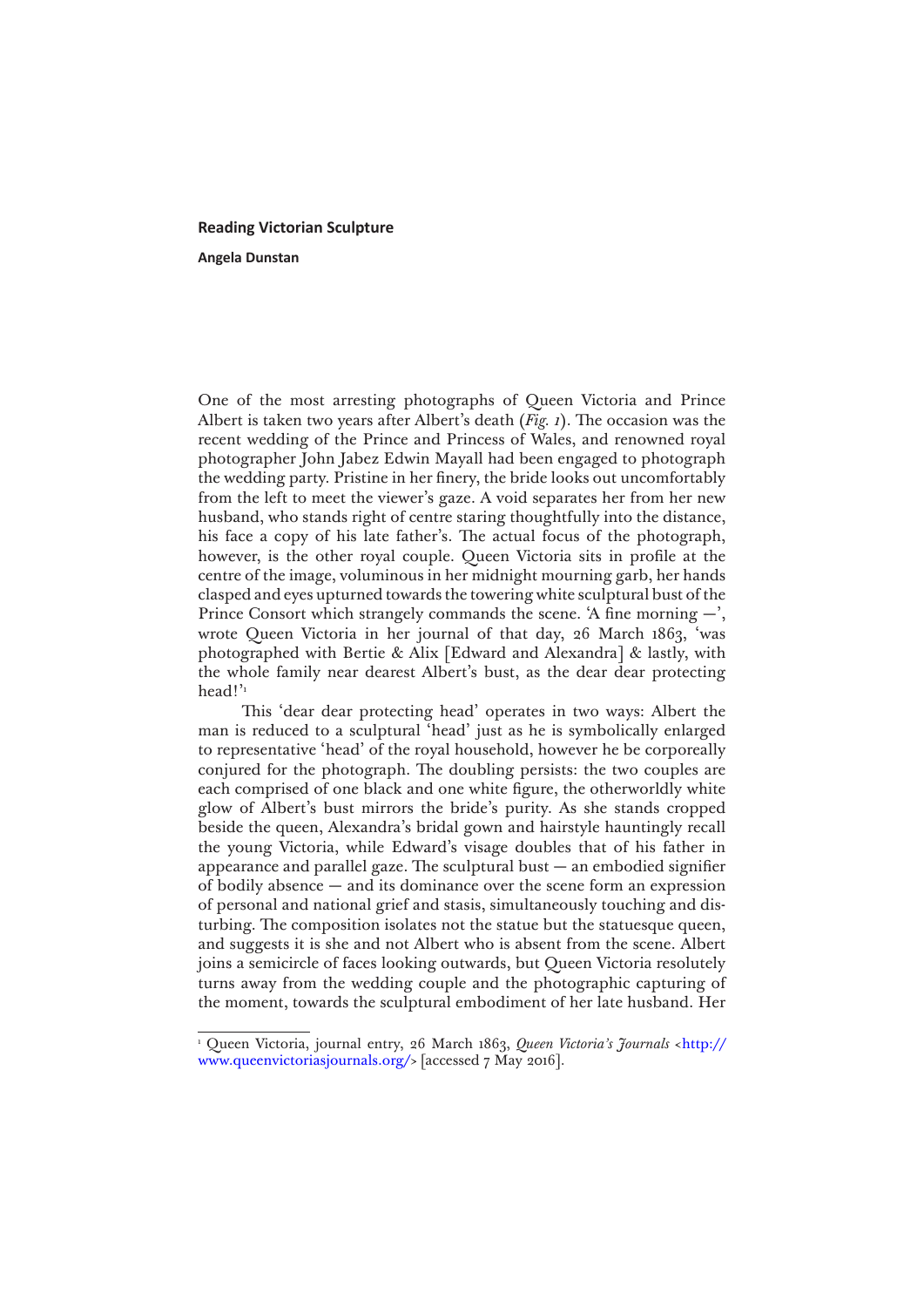## **Reading Victorian Sculpture**

**Angela Dunstan**

One of the most arresting photographs of Queen Victoria and Prince Albert is taken two years after Albert's death (*Fig. 1*). The occasion was the recent wedding of the Prince and Princess of Wales, and renowned royal photographer John Jabez Edwin Mayall had been engaged to photograph the wedding party. Pristine in her finery, the bride looks out uncomfortably from the left to meet the viewer's gaze. A void separates her from her new husband, who stands right of centre staring thoughtfully into the distance, his face a copy of his late father's. The actual focus of the photograph, however, is the other royal couple. Queen Victoria sits in profile at the centre of the image, voluminous in her midnight mourning garb, her hands clasped and eyes upturned towards the towering white sculptural bust of the Prince Consort which strangely commands the scene. 'A fine morning  $-$ ', wrote Queen Victoria in her journal of that day, 26 March 1863, 'was photographed with Bertie & Alix [Edward and Alexandra] & lastly, with the whole family near dearest Albert's bust, as the dear dear protecting head!"

This 'dear dear protecting head' operates in two ways: Albert the man is reduced to a sculptural 'head' just as he is symbolically enlarged to representative 'head' of the royal household, however he be corporeally conjured for the photograph. The doubling persists: the two couples are each comprised of one black and one white figure, the otherworldly white glow of Albert's bust mirrors the bride's purity. As she stands cropped beside the queen, Alexandra's bridal gown and hairstyle hauntingly recall the young Victoria, while Edward's visage doubles that of his father in appearance and parallel gaze. The sculptural bust  $-$  an embodied signifier of bodily absence — and its dominance over the scene form an expression of personal and national grief and stasis, simultaneously touching and disturbing. The composition isolates not the statue but the statuesque queen, and suggests it is she and not Albert who is absent from the scene. Albert joins a semicircle of faces looking outwards, but Queen Victoria resolutely turns away from the wedding couple and the photographic capturing of the moment, towards the sculptural embodiment of her late husband. Her

<sup>1</sup> Queen Victoria, journal entry, 26 March 1863, *Queen Victoria's Journals* <[http://](http://www.queenvictoriasjournals.org/) [www.queenvictoriasjournals.org/](http://www.queenvictoriasjournals.org/)> [accessed 7 May 2016].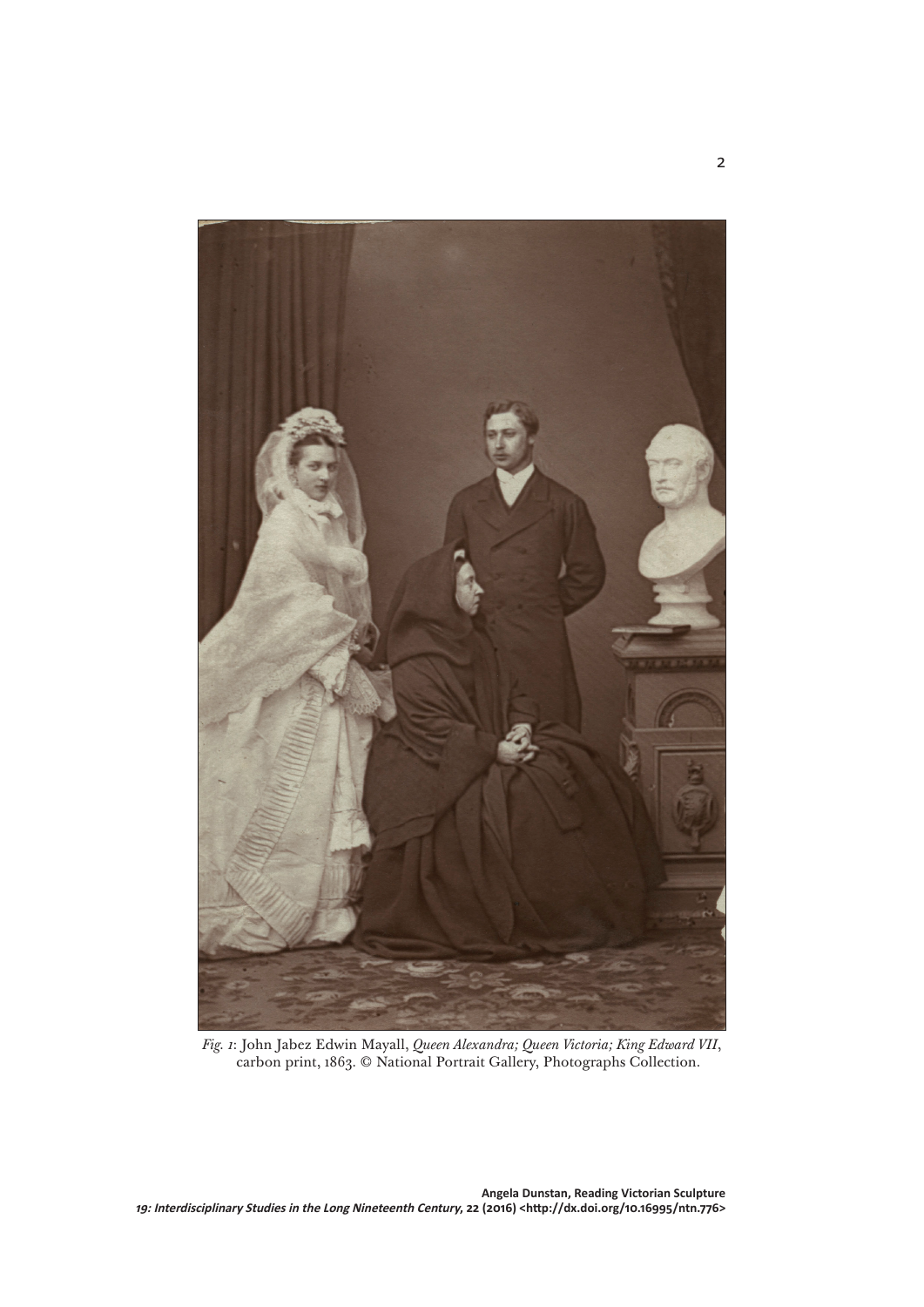

*Fig. 1*: John Jabez Edwin Mayall, *Queen Alexandra; Queen Victoria; King Edward VII*, carbon print, 1863. © National Portrait Gallery, Photographs Collection.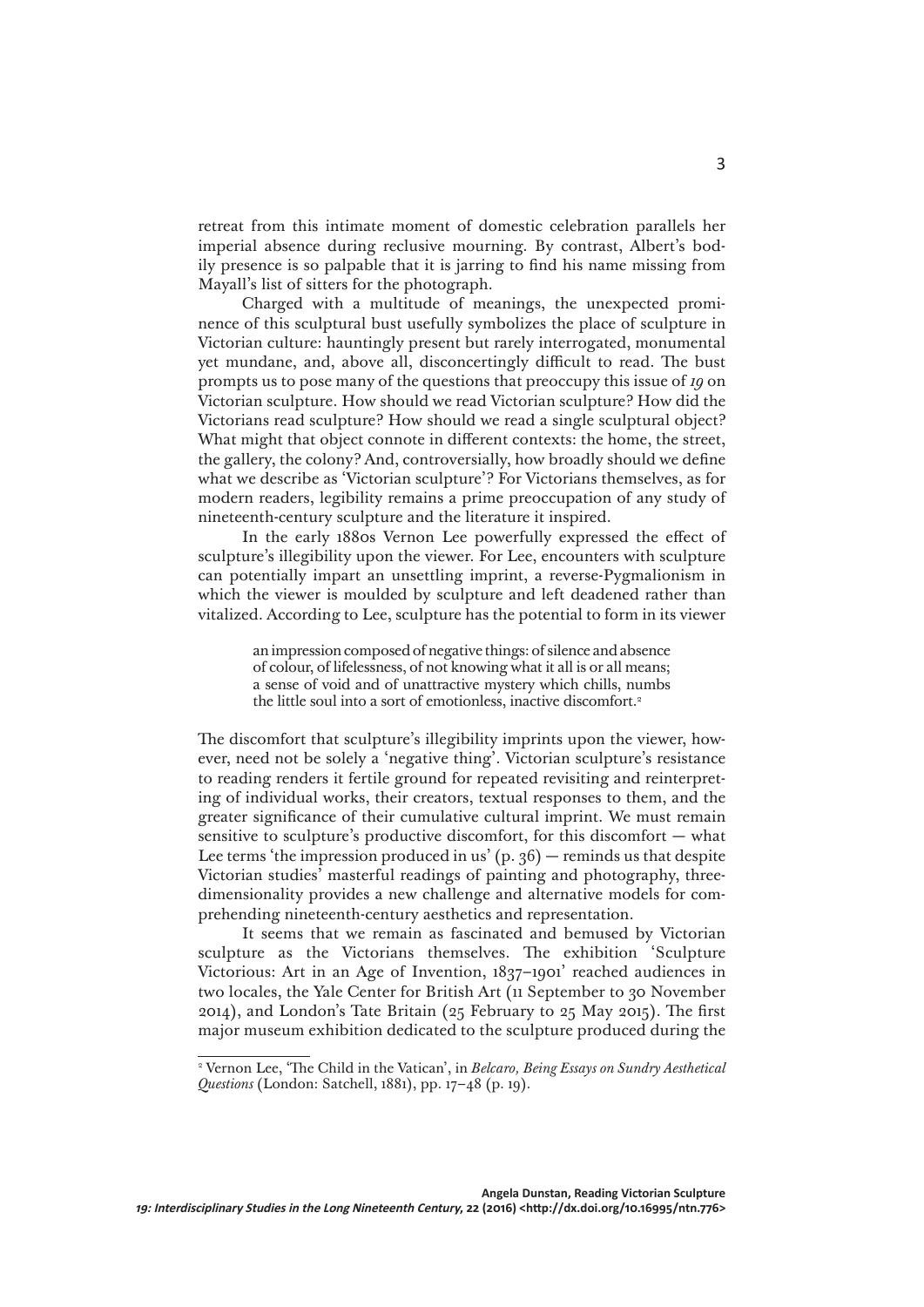retreat from this intimate moment of domestic celebration parallels her imperial absence during reclusive mourning. By contrast, Albert's bodily presence is so palpable that it is jarring to find his name missing from Mayall's list of sitters for the photograph.

Charged with a multitude of meanings, the unexpected prominence of this sculptural bust usefully symbolizes the place of sculpture in Victorian culture: hauntingly present but rarely interrogated, monumental yet mundane, and, above all, disconcertingly difficult to read. The bust prompts us to pose many of the questions that preoccupy this issue of *19* on Victorian sculpture. How should we read Victorian sculpture? How did the Victorians read sculpture? How should we read a single sculptural object? What might that object connote in different contexts: the home, the street, the gallery, the colony? And, controversially, how broadly should we define what we describe as 'Victorian sculpture'? For Victorians themselves, as for modern readers, legibility remains a prime preoccupation of any study of nineteenth-century sculpture and the literature it inspired.

In the early 1880s Vernon Lee powerfully expressed the effect of sculpture's illegibility upon the viewer. For Lee, encounters with sculpture can potentially impart an unsettling imprint, a reverse-Pygmalionism in which the viewer is moulded by sculpture and left deadened rather than vitalized. According to Lee, sculpture has the potential to form in its viewer

> an impression composed of negative things: of silence and absence of colour, of lifelessness, of not knowing what it all is or all means; a sense of void and of unattractive mystery which chills, numbs the little soul into a sort of emotionless, inactive discomfort.2

The discomfort that sculpture's illegibility imprints upon the viewer, however, need not be solely a 'negative thing'. Victorian sculpture's resistance to reading renders it fertile ground for repeated revisiting and reinterpreting of individual works, their creators, textual responses to them, and the greater significance of their cumulative cultural imprint. We must remain sensitive to sculpture's productive discomfort, for this discomfort — what Lee terms 'the impression produced in us'  $(p. 36)$  — reminds us that despite Victorian studies' masterful readings of painting and photography, threedimensionality provides a new challenge and alternative models for comprehending nineteenth-century aesthetics and representation.

It seems that we remain as fascinated and bemused by Victorian sculpture as the Victorians themselves. The exhibition 'Sculpture Victorious: Art in an Age of Invention, 1837–1901' reached audiences in two locales, the Yale Center for British Art (11 September to 30 November 2014), and London's Tate Britain (25 February to 25 May 2015). The first major museum exhibition dedicated to the sculpture produced during the

<sup>2</sup> Vernon Lee, 'The Child in the Vatican', in *Belcaro, Being Essays on Sundry Aesthetical Questions* (London: Satchell, 1881), pp. 17–48 (p. 19).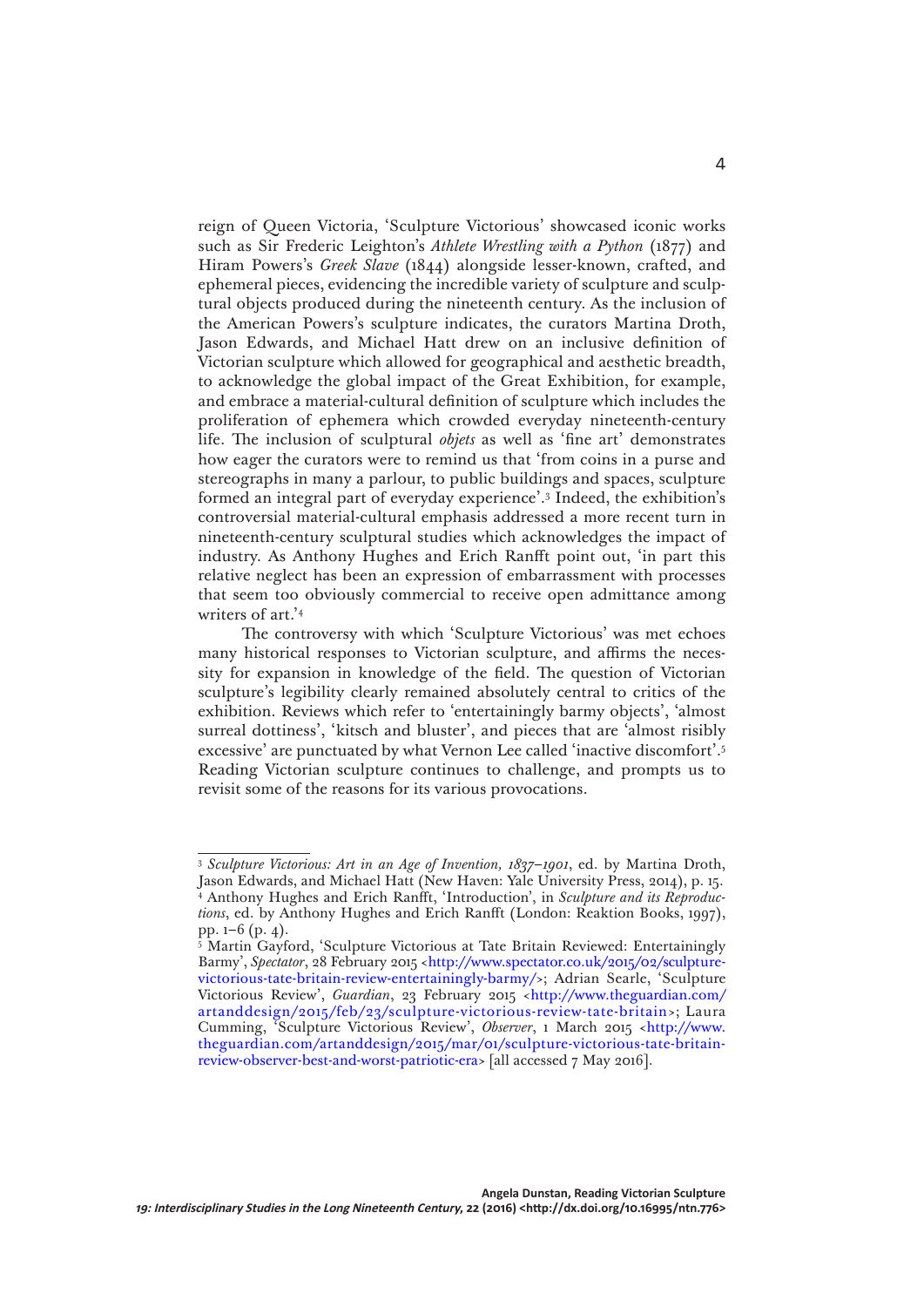reign of Queen Victoria, 'Sculpture Victorious' showcased iconic works such as Sir Frederic Leighton's *Athlete Wrestling with a Python* (1877) and Hiram Powers's *Greek Slave* (1844) alongside lesser-known, crafted, and ephemeral pieces, evidencing the incredible variety of sculpture and sculptural objects produced during the nineteenth century. As the inclusion of the American Powers's sculpture indicates, the curators Martina Droth, Jason Edwards, and Michael Hatt drew on an inclusive definition of Victorian sculpture which allowed for geographical and aesthetic breadth, to acknowledge the global impact of the Great Exhibition, for example, and embrace a material-cultural definition of sculpture which includes the proliferation of ephemera which crowded everyday nineteenth-century life. The inclusion of sculptural *objets* as well as 'fine art' demonstrates how eager the curators were to remind us that 'from coins in a purse and stereographs in many a parlour, to public buildings and spaces, sculpture formed an integral part of everyday experience'.3 Indeed, the exhibition's controversial material-cultural emphasis addressed a more recent turn in nineteenth-century sculptural studies which acknowledges the impact of industry. As Anthony Hughes and Erich Ranfft point out, 'in part this relative neglect has been an expression of embarrassment with processes that seem too obviously commercial to receive open admittance among writers of art.'4

The controversy with which 'Sculpture Victorious' was met echoes many historical responses to Victorian sculpture, and affirms the necessity for expansion in knowledge of the field. The question of Victorian sculpture's legibility clearly remained absolutely central to critics of the exhibition. Reviews which refer to 'entertainingly barmy objects', 'almost surreal dottiness', 'kitsch and bluster', and pieces that are 'almost risibly excessive' are punctuated by what Vernon Lee called 'inactive discomfort'.5 Reading Victorian sculpture continues to challenge, and prompts us to revisit some of the reasons for its various provocations.

<sup>3</sup> *Sculpture Victorious: Art in an Age of Invention, 1837*–*1901*, ed. by Martina Droth, Jason Edwards, and Michael Hatt (New Haven: Yale University Press, 2014), p. 15. 4 Anthony Hughes and Erich Ranfft, 'Introduction', in *Sculpture and its Reproductions*, ed. by Anthony Hughes and Erich Ranfft (London: Reaktion Books, 1997), pp. 1–6 (p. 4).

<sup>5</sup> Martin Gayford, 'Sculpture Victorious at Tate Britain Reviewed: Entertainingly Barmy', *Spectator*, 28 February 2015 <[http://www.spectator.co.uk/2015/02/sculpture](http://www.spectator.co.uk/2015/02/sculpture-victorious-tate-britain-review-entertainingly-barmy/)[victorious-tate-britain-review-entertainingly-barmy/](http://www.spectator.co.uk/2015/02/sculpture-victorious-tate-britain-review-entertainingly-barmy/)>; Adrian Searle, 'Sculpture Victorious Review', *Guardian*, 23 February 2015 <[http://www.theguardian.com/](http://www.theguardian.com/artanddesign/2015/feb/23/sculpture-victorious-review-tate-britain) [artanddesign/2015/feb/23/sculpture-victorious-review-tate-britain](http://www.theguardian.com/artanddesign/2015/feb/23/sculpture-victorious-review-tate-britain)>; Laura Cumming, 'Sculpture Victorious Review', *Observer*, 1 March 2015 <[http://www.](http://www.theguardian.com/artanddesign/2015/mar/01/sculpture-victorious-tate-britain-review-observer-best-and-worst-patriotic-era) [theguardian.com/artanddesign/2015/mar/01/sculpture-victorious-tate-britain](http://www.theguardian.com/artanddesign/2015/mar/01/sculpture-victorious-tate-britain-review-observer-best-and-worst-patriotic-era)[review-observer-best-and-worst-patriotic-era](http://www.theguardian.com/artanddesign/2015/mar/01/sculpture-victorious-tate-britain-review-observer-best-and-worst-patriotic-era)> [all accessed 7 May 2016].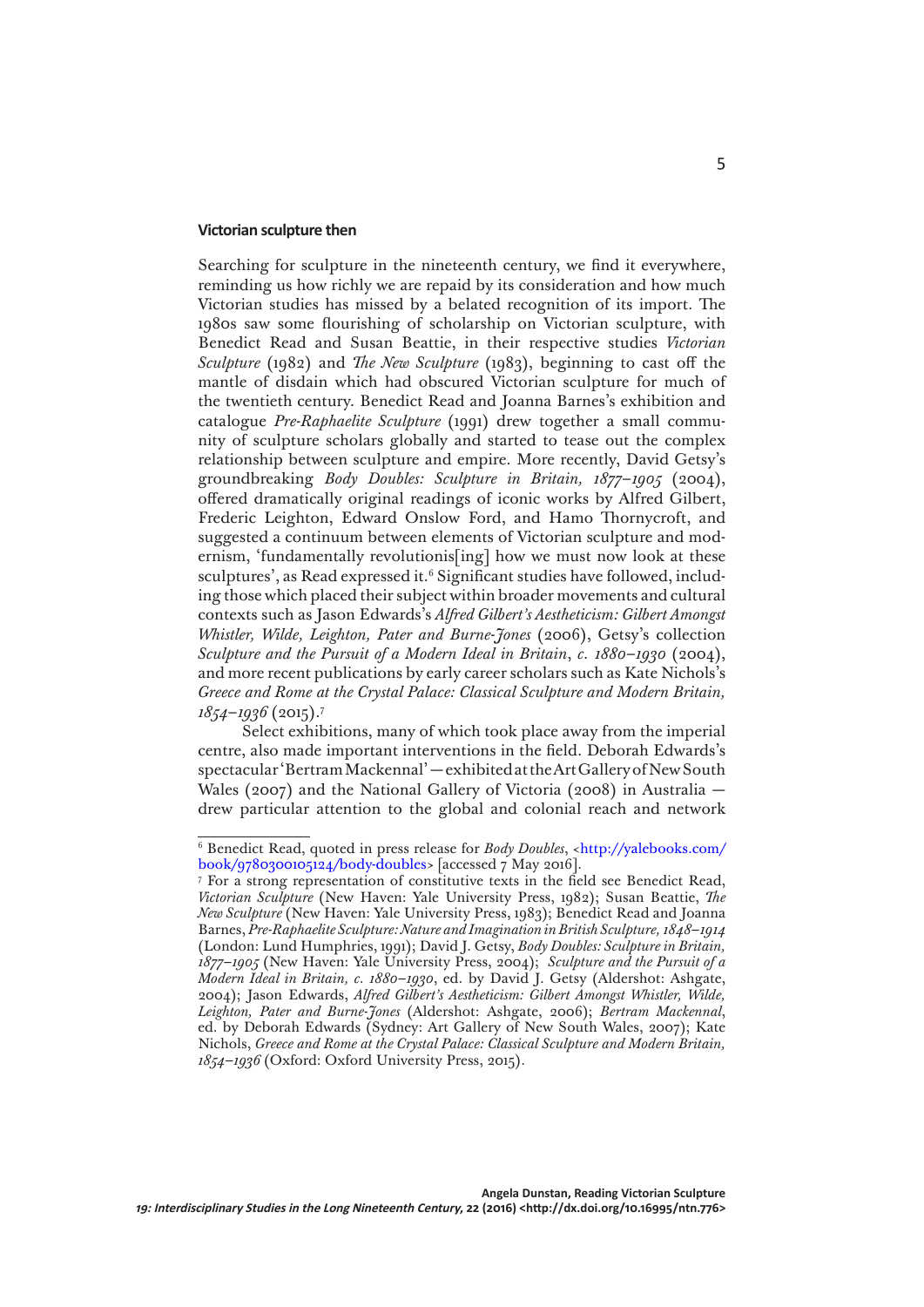## **Victorian sculpture then**

Searching for sculpture in the nineteenth century, we find it everywhere, reminding us how richly we are repaid by its consideration and how much Victorian studies has missed by a belated recognition of its import. The 1980s saw some flourishing of scholarship on Victorian sculpture, with Benedict Read and Susan Beattie, in their respective studies *Victorian Sculpture* (1982) and *The New Sculpture* (1983), beginning to cast off the mantle of disdain which had obscured Victorian sculpture for much of the twentieth century. Benedict Read and Joanna Barnes's exhibition and catalogue *Pre-Raphaelite Sculpture* (1991) drew together a small community of sculpture scholars globally and started to tease out the complex relationship between sculpture and empire. More recently, David Getsy's groundbreaking *Body Doubles: Sculpture in Britain, 1877*–*1905* (2004), offered dramatically original readings of iconic works by Alfred Gilbert, Frederic Leighton, Edward Onslow Ford, and Hamo Thornycroft, and suggested a continuum between elements of Victorian sculpture and modernism, 'fundamentally revolutionis[ing] how we must now look at these sculptures', as Read expressed it.<sup>6</sup> Significant studies have followed, including those which placed their subject within broader movements and cultural contexts such as Jason Edwards's *Alfred Gilbert's Aestheticism: Gilbert Amongst Whistler, Wilde, Leighton, Pater and Burne-Jones* (2006), Getsy's collection *Sculpture and the Pursuit of a Modern Ideal in Britain*, *c. 1880–1930* (2004), and more recent publications by early career scholars such as Kate Nichols's *Greece and Rome at the Crystal Palace: Classical Sculpture and Modern Britain, 1854*–*1936* (2015).7

Select exhibitions, many of which took place away from the imperial centre, also made important interventions in the field. Deborah Edwards's spectacular 'Bertram Mackennal' — exhibited at the Art Gallery of New South Wales (2007) and the National Gallery of Victoria (2008) in Australia drew particular attention to the global and colonial reach and network

<sup>6</sup> Benedict Read, quoted in press release for *Body Doubles*, <[http://yalebooks.com/](http://yalebooks.com/book/9780300105124/body-doubles) [book/9780300105124/body-doubles>](http://yalebooks.com/book/9780300105124/body-doubles) [accessed 7 May 2016].

<sup>7</sup> For a strong representation of constitutive texts in the field see Benedict Read, *Victorian Sculpture* (New Haven: Yale University Press, 1982); Susan Beattie, *The New Sculpture* (New Haven: Yale University Press, 1983); Benedict Read and Joanna Barnes, *Pre-Raphaelite Sculpture: Nature and Imagination in British Sculpture, 1848*–*1914*  (London: Lund Humphries, 1991); David J. Getsy, *Body Doubles: Sculpture in Britain, 1877*–*1905* (New Haven: Yale University Press, 2004); *Sculpture and the Pursuit of a Modern Ideal in Britain, c. 1880–1930*, ed. by David J. Getsy (Aldershot: Ashgate, 2004); Jason Edwards, *Alfred Gilbert's Aestheticism: Gilbert Amongst Whistler, Wilde, Leighton, Pater and Burne-Jones* (Aldershot: Ashgate, 2006); *Bertram Mackennal*, ed. by Deborah Edwards (Sydney: Art Gallery of New South Wales, 2007); Kate Nichols, *Greece and Rome at the Crystal Palace: Classical Sculpture and Modern Britain, 1854*–*1936* (Oxford: Oxford University Press, 2015).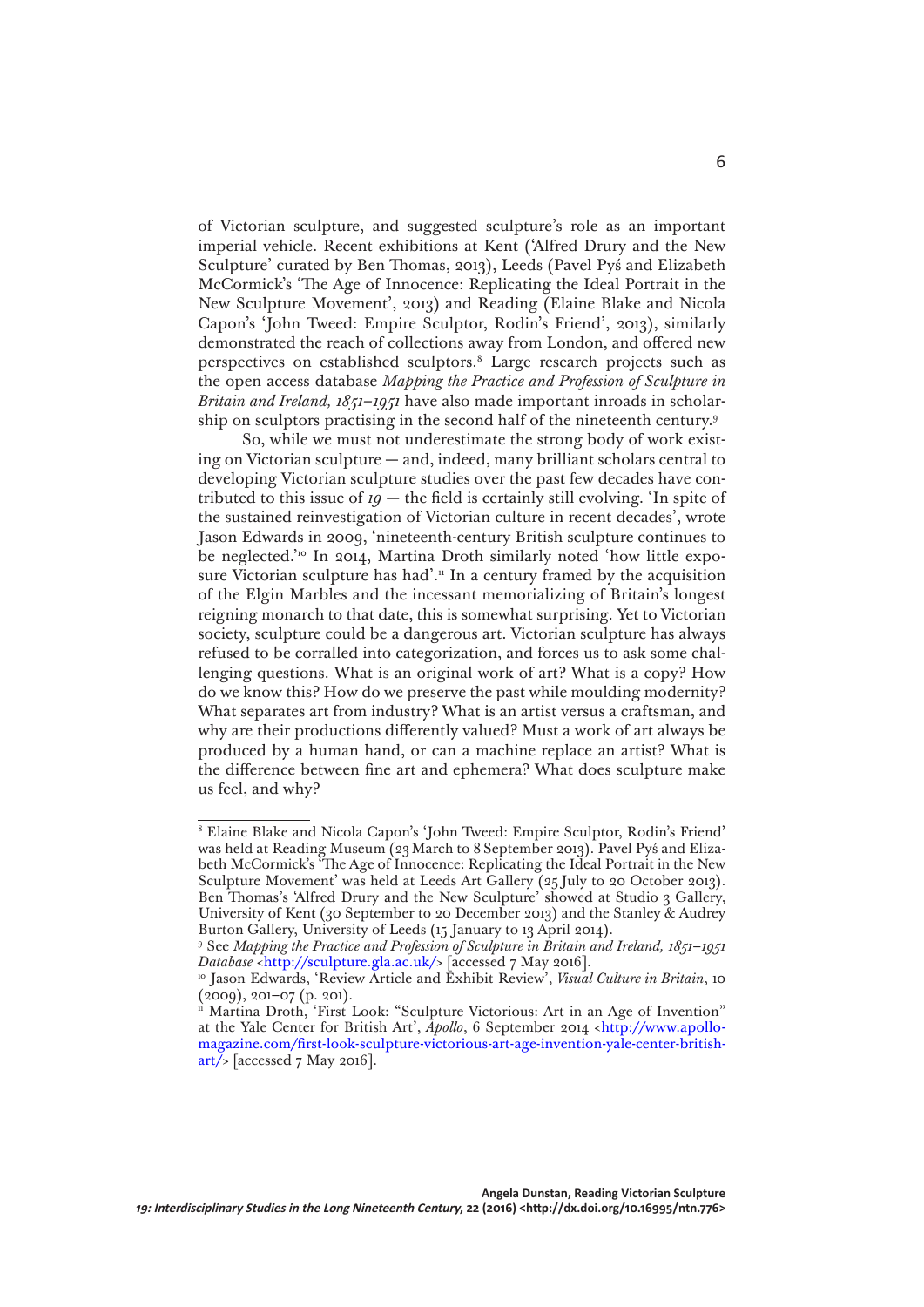of Victorian sculpture, and suggested sculpture's role as an important imperial vehicle. Recent exhibitions at Kent ('Alfred Drury and the New Sculpture' curated by Ben Thomas, 2013), Leeds (Pavel Pyś and Elizabeth McCormick's 'The Age of Innocence: Replicating the Ideal Portrait in the New Sculpture Movement', 2013) and Reading (Elaine Blake and Nicola Capon's 'John Tweed: Empire Sculptor, Rodin's Friend', 2013), similarly demonstrated the reach of collections away from London, and offered new perspectives on established sculptors.8 Large research projects such as the open access database *Mapping the Practice and Profession of Sculpture in Britain and Ireland, 1851–1951* have also made important inroads in scholarship on sculptors practising in the second half of the nineteenth century.9

So, while we must not underestimate the strong body of work existing on Victorian sculpture — and, indeed, many brilliant scholars central to developing Victorian sculpture studies over the past few decades have contributed to this issue of  $19$  – the field is certainly still evolving. 'In spite of the sustained reinvestigation of Victorian culture in recent decades', wrote Jason Edwards in 2009, 'nineteenth-century British sculpture continues to be neglected.'<sup>10</sup> In 2014, Martina Droth similarly noted 'how little exposure Victorian sculpture has had'.<sup>11</sup> In a century framed by the acquisition of the Elgin Marbles and the incessant memorializing of Britain's longest reigning monarch to that date, this is somewhat surprising. Yet to Victorian society, sculpture could be a dangerous art. Victorian sculpture has always refused to be corralled into categorization, and forces us to ask some challenging questions. What is an original work of art? What is a copy? How do we know this? How do we preserve the past while moulding modernity? What separates art from industry? What is an artist versus a craftsman, and why are their productions differently valued? Must a work of art always be produced by a human hand, or can a machine replace an artist? What is the difference between fine art and ephemera? What does sculpture make us feel, and why?

<sup>8</sup> Elaine Blake and Nicola Capon's 'John Tweed: Empire Sculptor, Rodin's Friend' was held at Reading Museum (23March to 8September 2013). Pavel Pyś and Elizabeth McCormick's 'The Age of Innocence: Replicating the Ideal Portrait in the New Sculpture Movement' was held at Leeds Art Gallery (25 July to 20 October 2013). Ben Thomas's 'Alfred Drury and the New Sculpture' showed at Studio 3 Gallery, University of Kent (30 September to 20 December 2013) and the Stanley & Audrey Burton Gallery, University of Leeds (15 January to 13 April 2014).

<sup>9</sup> See *Mapping the Practice and Profession of Sculpture in Britain and Ireland, 1851*–*1951 Database* [<http://sculpture.gla.ac.uk/>](http://sculpture.gla.ac.uk/) [accessed 7 May 2016].

<sup>&</sup>lt;sup>10</sup> Jason Edwards, 'Review Article and Exhibit Review', *Visual Culture in Britain*, 10 (2009), 201–07 (p. 201).

<sup>&</sup>lt;sup>11</sup> Martina Droth, 'First Look: "Sculpture Victorious: Art in an Age of Invention" at the Yale Center for British Art', *Apollo*, 6 September 2014 <[http://www.apollo](http://www.apollo-magazine.com/first-look-sculpture-victorious-art-age-invention-yale-center-british-art/)[magazine.com/first-look-sculpture-victorious-art-age-invention-yale-center-british](http://www.apollo-magazine.com/first-look-sculpture-victorious-art-age-invention-yale-center-british-art/) $art$  [accessed 7 May 2016].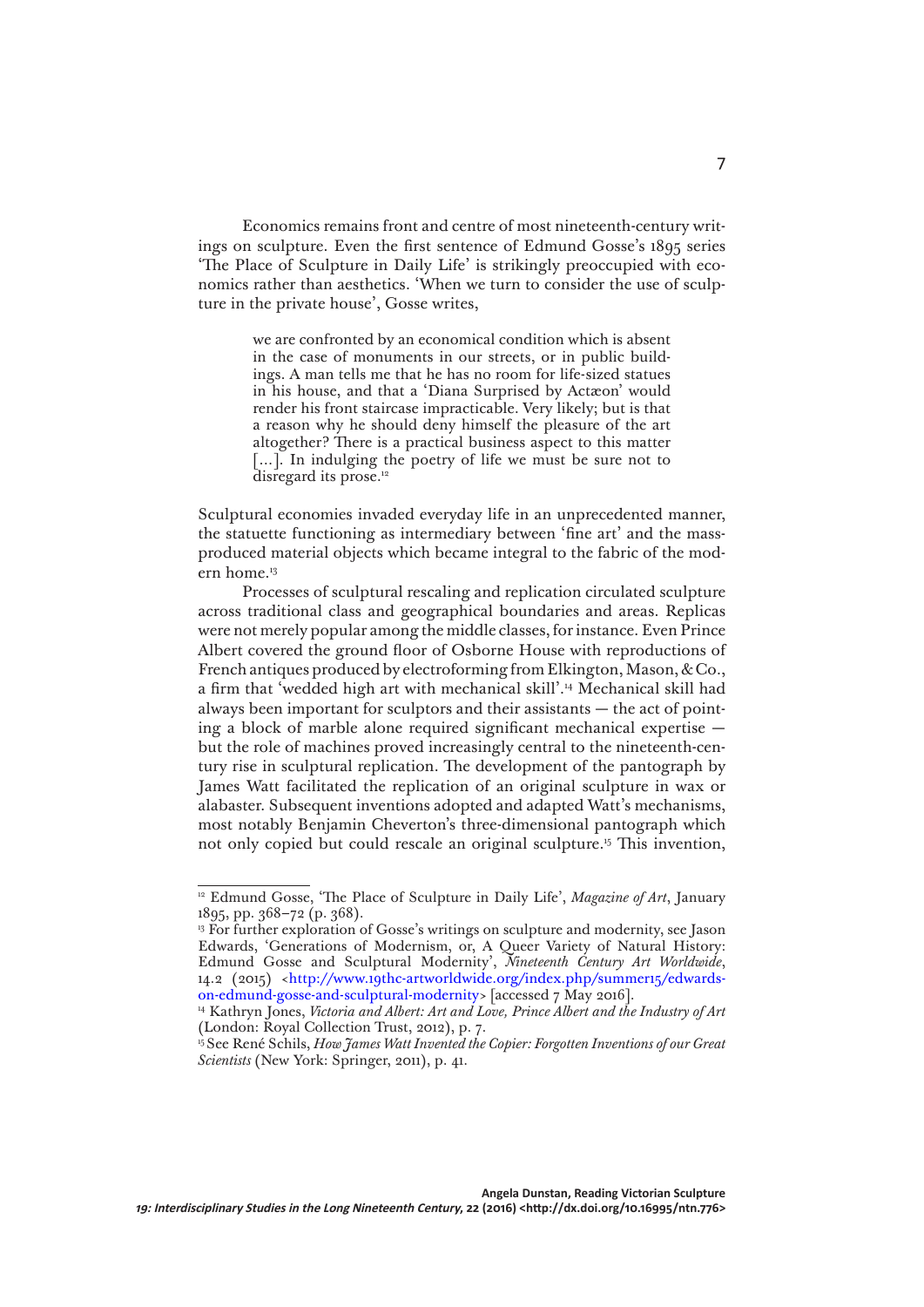Economics remains front and centre of most nineteenth-century writings on sculpture. Even the first sentence of Edmund Gosse's 1895 series 'The Place of Sculpture in Daily Life' is strikingly preoccupied with economics rather than aesthetics. 'When we turn to consider the use of sculpture in the private house', Gosse writes,

> we are confronted by an economical condition which is absent in the case of monuments in our streets, or in public buildings. A man tells me that he has no room for life-sized statues in his house, and that a 'Diana Surprised by Actæon' would render his front staircase impracticable. Very likely; but is that a reason why he should deny himself the pleasure of the art altogether? There is a practical business aspect to this matter [...]. In indulging the poetry of life we must be sure not to disregard its prose.<sup>12</sup>

Sculptural economies invaded everyday life in an unprecedented manner, the statuette functioning as intermediary between 'fine art' and the massproduced material objects which became integral to the fabric of the modern home.13

Processes of sculptural rescaling and replication circulated sculpture across traditional class and geographical boundaries and areas. Replicas were not merely popular among the middle classes, for instance. Even Prince Albert covered the ground floor of Osborne House with reproductions of French antiques produced by electroforming from Elkington, Mason, & Co., a firm that 'wedded high art with mechanical skill'.14 Mechanical skill had always been important for sculptors and their assistants — the act of pointing a block of marble alone required significant mechanical expertise but the role of machines proved increasingly central to the nineteenth-century rise in sculptural replication. The development of the pantograph by James Watt facilitated the replication of an original sculpture in wax or alabaster. Subsequent inventions adopted and adapted Watt's mechanisms, most notably Benjamin Cheverton's three-dimensional pantograph which not only copied but could rescale an original sculpture.15 This invention,

<sup>&</sup>lt;sup>12</sup> Edmund Gosse, 'The Place of Sculpture in Daily Life', *Magazine of Art*, January 1895, pp. 368–72 (p. 368).

<sup>&</sup>lt;sup>13</sup> For further exploration of Gosse's writings on sculpture and modernity, see Jason Edwards, 'Generations of Modernism, or, A Queer Variety of Natural History: Edmund Gosse and Sculptural Modernity', *Nineteenth Century Art Worldwide*, 14.2 (2015) [<http://www.19thc-artworldwide.org/index.php/summer15/edwards](http://www.19thc-artworldwide.org/index.php/summer15/edwards-on-edmund-gosse-and-sculptural-modernity)[on-edmund-gosse-and-sculptural-modernity>](http://www.19thc-artworldwide.org/index.php/summer15/edwards-on-edmund-gosse-and-sculptural-modernity) [accessed 7 May 2016].

<sup>&</sup>lt;sup>14</sup> Kathryn Jones, *Victoria and Albert: Art and Love, Prince Albert and the Industry of Art* (London: Royal Collection Trust, 2012), p. 7.

<sup>&</sup>lt;sup>15</sup> See René Schils, *How James Watt Invented the Copier: Forgotten Inventions of our Great Scientists* (New York: Springer, 2011), p. 41.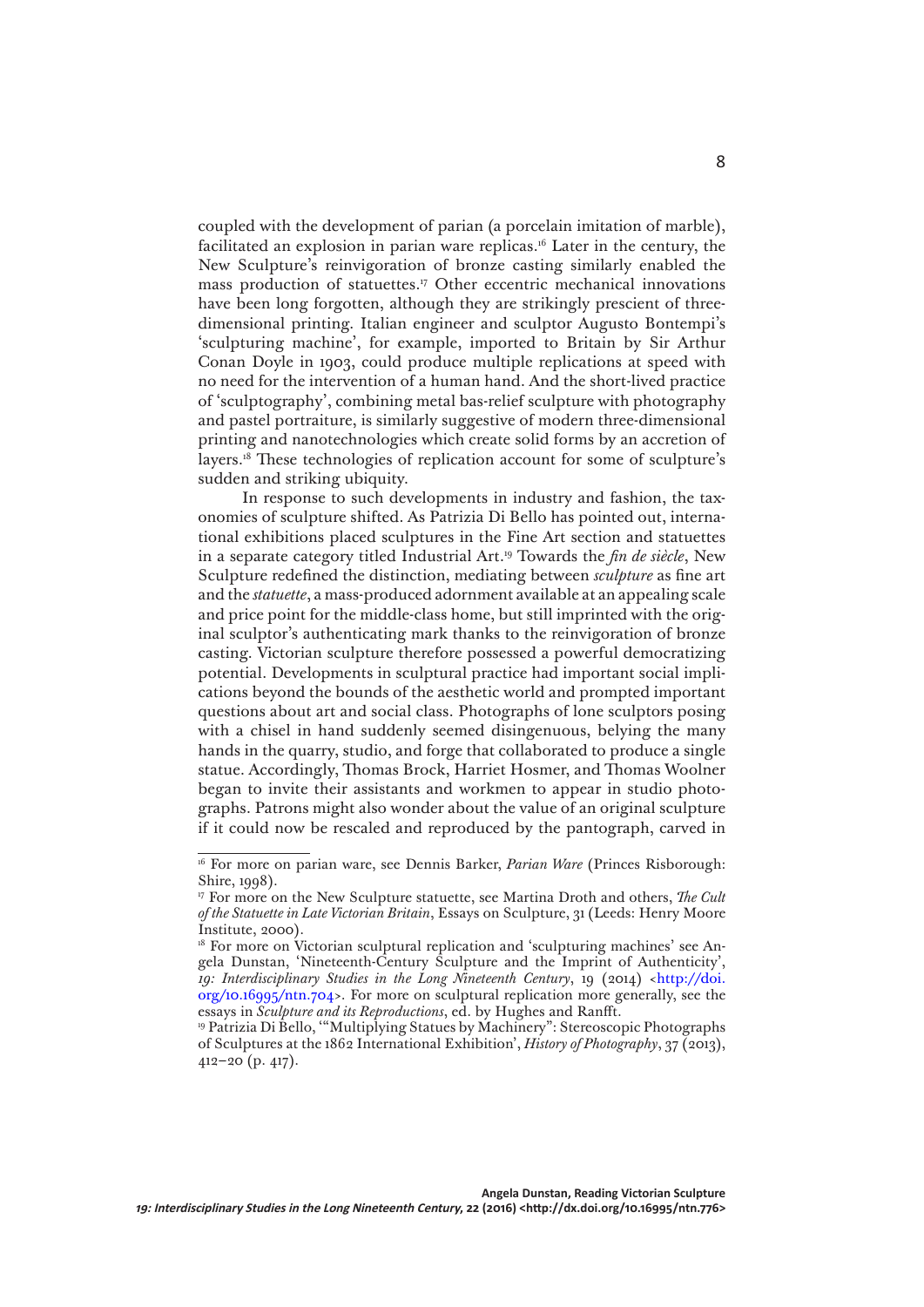coupled with the development of parian (a porcelain imitation of marble), facilitated an explosion in parian ware replicas.16 Later in the century, the New Sculpture's reinvigoration of bronze casting similarly enabled the mass production of statuettes.17 Other eccentric mechanical innovations have been long forgotten, although they are strikingly prescient of threedimensional printing. Italian engineer and sculptor Augusto Bontempi's 'sculpturing machine', for example, imported to Britain by Sir Arthur Conan Doyle in 1903, could produce multiple replications at speed with no need for the intervention of a human hand. And the short-lived practice of 'sculptography', combining metal bas-relief sculpture with photography and pastel portraiture, is similarly suggestive of modern three-dimensional printing and nanotechnologies which create solid forms by an accretion of layers.18 These technologies of replication account for some of sculpture's sudden and striking ubiquity.

In response to such developments in industry and fashion, the taxonomies of sculpture shifted. As Patrizia Di Bello has pointed out, international exhibitions placed sculptures in the Fine Art section and statuettes in a separate category titled Industrial Art.19 Towards the *fin de siècle*, New Sculpture redefined the distinction, mediating between *sculpture* as fine art and the *statuette*, a mass-produced adornment available at an appealing scale and price point for the middle-class home, but still imprinted with the original sculptor's authenticating mark thanks to the reinvigoration of bronze casting. Victorian sculpture therefore possessed a powerful democratizing potential. Developments in sculptural practice had important social implications beyond the bounds of the aesthetic world and prompted important questions about art and social class. Photographs of lone sculptors posing with a chisel in hand suddenly seemed disingenuous, belying the many hands in the quarry, studio, and forge that collaborated to produce a single statue. Accordingly, Thomas Brock, Harriet Hosmer, and Thomas Woolner began to invite their assistants and workmen to appear in studio photographs. Patrons might also wonder about the value of an original sculpture if it could now be rescaled and reproduced by the pantograph, carved in

<sup>&</sup>lt;sup>16</sup> For more on parian ware, see Dennis Barker, *Parian Ware* (Princes Risborough: Shire, 1998).

<sup>17</sup> For more on the New Sculpture statuette, see Martina Droth and others, *The Cult of the Statuette in Late Victorian Britain*, Essays on Sculpture, 31 (Leeds: Henry Moore Institute, 2000).

<sup>&</sup>lt;sup>18</sup> For more on Victorian sculptural replication and 'sculpturing machines' see Angela Dunstan, 'Nineteenth-Century Sculpture and the Imprint of Authenticity', *19: Interdisciplinary Studies in the Long Nineteenth Century*, 19 (2014) [<http://doi.](http://doi.org/10.16995/ntn.704) [org/10.16995/ntn.704](http://doi.org/10.16995/ntn.704)>. For more on sculptural replication more generally, see the essays in *Sculpture and its Reproductions*, ed. by Hughes and Ranfft.

<sup>&</sup>lt;sup>19</sup> Patrizia Di Bello, "Multiplying Statues by Machinery": Stereoscopic Photographs of Sculptures at the 1862 International Exhibition', *History of Photography*, 37 (2013), 412–20 (p. 417).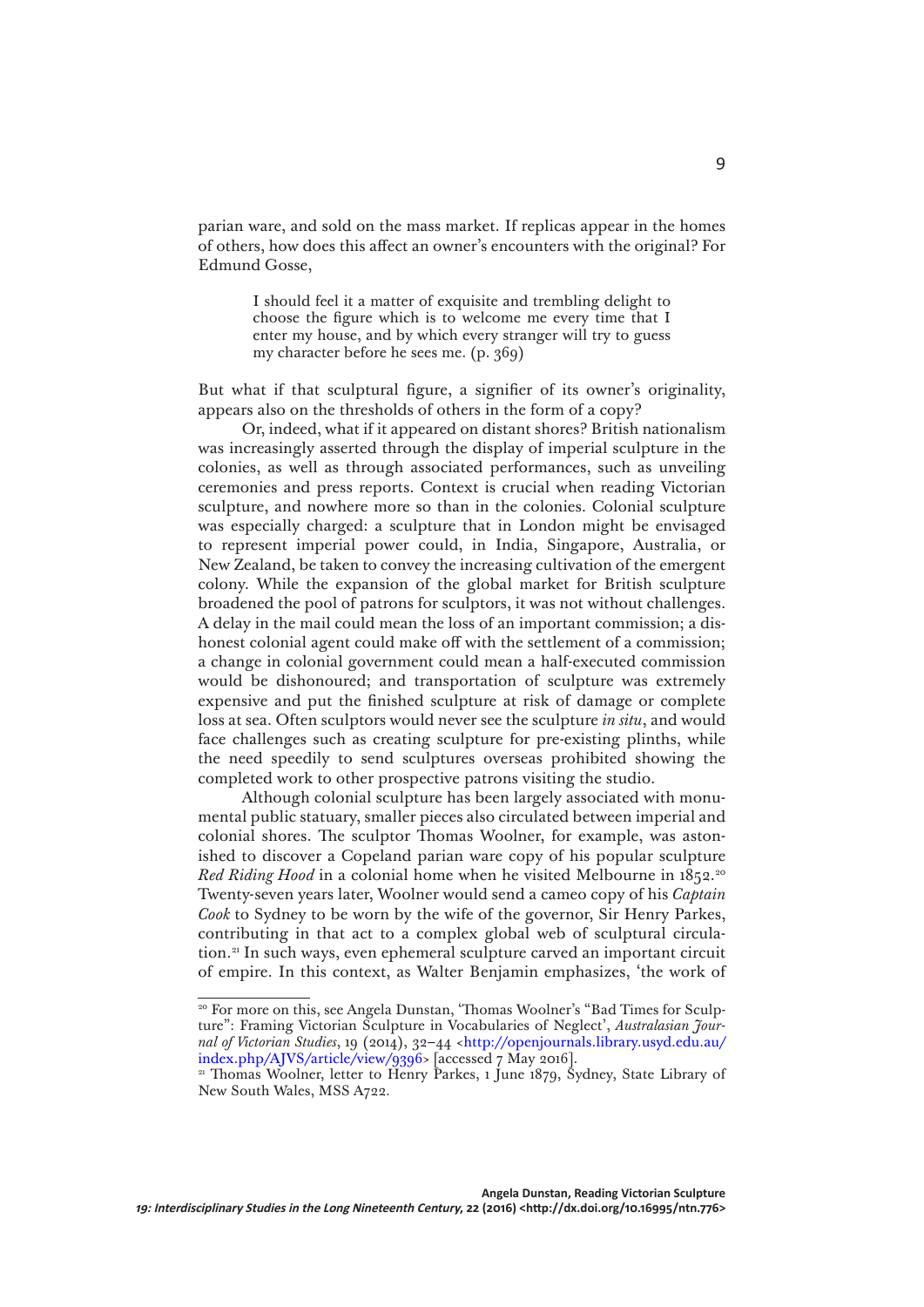parian ware, and sold on the mass market. If replicas appear in the homes of others, how does this affect an owner's encounters with the original? For Edmund Gosse,

> I should feel it a matter of exquisite and trembling delight to choose the figure which is to welcome me every time that I enter my house, and by which every stranger will try to guess my character before he sees me. (p. 369)

But what if that sculptural figure, a signifier of its owner's originality, appears also on the thresholds of others in the form of a copy?

Or, indeed, what if it appeared on distant shores? British nationalism was increasingly asserted through the display of imperial sculpture in the colonies, as well as through associated performances, such as unveiling ceremonies and press reports. Context is crucial when reading Victorian sculpture, and nowhere more so than in the colonies. Colonial sculpture was especially charged: a sculpture that in London might be envisaged to represent imperial power could, in India, Singapore, Australia, or New Zealand, be taken to convey the increasing cultivation of the emergent colony. While the expansion of the global market for British sculpture broadened the pool of patrons for sculptors, it was not without challenges. A delay in the mail could mean the loss of an important commission; a dishonest colonial agent could make off with the settlement of a commission; a change in colonial government could mean a half-executed commission would be dishonoured; and transportation of sculpture was extremely expensive and put the finished sculpture at risk of damage or complete loss at sea. Often sculptors would never see the sculpture *in situ*, and would face challenges such as creating sculpture for pre-existing plinths, while the need speedily to send sculptures overseas prohibited showing the completed work to other prospective patrons visiting the studio.

Although colonial sculpture has been largely associated with monumental public statuary, smaller pieces also circulated between imperial and colonial shores. The sculptor Thomas Woolner, for example, was astonished to discover a Copeland parian ware copy of his popular sculpture *Red Riding Hood* in a colonial home when he visited Melbourne in 1852.<sup>20</sup> Twenty-seven years later, Woolner would send a cameo copy of his *Captain Cook* to Sydney to be worn by the wife of the governor, Sir Henry Parkes, contributing in that act to a complex global web of sculptural circulation.21 In such ways, even ephemeral sculpture carved an important circuit of empire. In this context, as Walter Benjamin emphasizes, 'the work of

<sup>&</sup>lt;sup>20</sup> For more on this, see Angela Dunstan, 'Thomas Woolner's "Bad Times for Sculpture": Framing Victorian Sculpture in Vocabularies of Neglect', *Australasian Journal of Victorian Studies*, 19 (2014), 32–44 <[http://openjournals.library.usyd.edu.au/](http://openjournals.library.usyd.edu.au/index.php/AJVS/article/view/9396) [index.php/AJVS/article/view/9396](http://openjournals.library.usyd.edu.au/index.php/AJVS/article/view/9396)> [accessed 7 May 2016].

<sup>&</sup>lt;sup>21</sup> Thomas Woolner, letter to Henry Parkes, 1 June 1879, Sydney, State Library of New South Wales, MSS A722.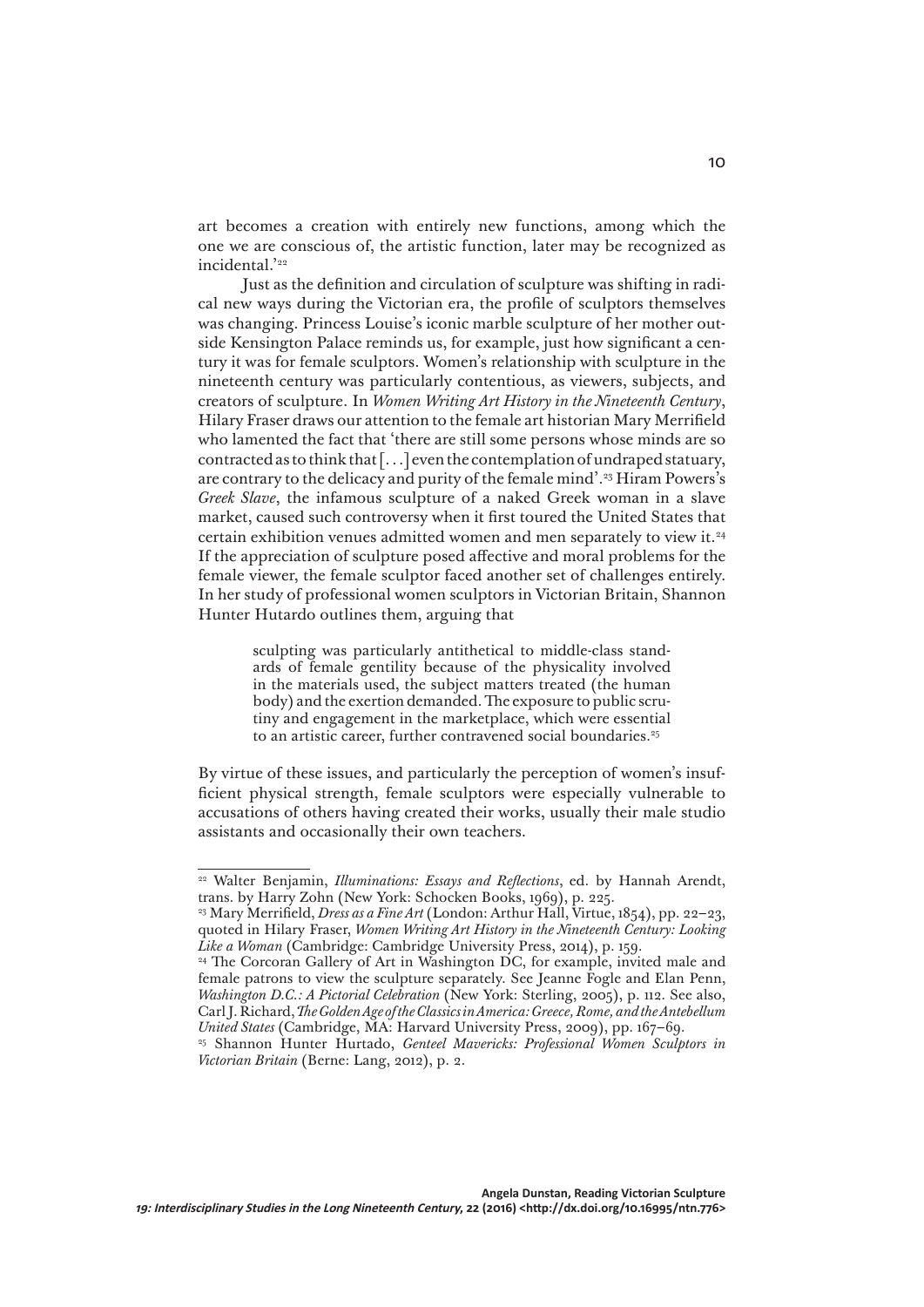art becomes a creation with entirely new functions, among which the one we are conscious of, the artistic function, later may be recognized as incidental.'22

Just as the definition and circulation of sculpture was shifting in radical new ways during the Victorian era, the profile of sculptors themselves was changing. Princess Louise's iconic marble sculpture of her mother outside Kensington Palace reminds us, for example, just how significant a century it was for female sculptors. Women's relationship with sculpture in the nineteenth century was particularly contentious, as viewers, subjects, and creators of sculpture. In *Women Writing Art History in the Nineteenth Century*, Hilary Fraser draws our attention to the female art historian Mary Merrifield who lamented the fact that 'there are still some persons whose minds are so contracted as to think that [. . .] even the contemplation of undraped statuary, are contrary to the delicacy and purity of the female mind'.23 Hiram Powers's *Greek Slave*, the infamous sculpture of a naked Greek woman in a slave market, caused such controversy when it first toured the United States that certain exhibition venues admitted women and men separately to view it.24 If the appreciation of sculpture posed affective and moral problems for the female viewer, the female sculptor faced another set of challenges entirely. In her study of professional women sculptors in Victorian Britain, Shannon Hunter Hutardo outlines them, arguing that

> sculpting was particularly antithetical to middle-class standards of female gentility because of the physicality involved in the materials used, the subject matters treated (the human body) and the exertion demanded. The exposure to public scrutiny and engagement in the marketplace, which were essential to an artistic career, further contravened social boundaries.<sup>25</sup>

By virtue of these issues, and particularly the perception of women's insufficient physical strength, female sculptors were especially vulnerable to accusations of others having created their works, usually their male studio assistants and occasionally their own teachers.

<sup>22</sup> Walter Benjamin, *Illuminations: Essays and Reflections*, ed. by Hannah Arendt, trans. by Harry Zohn (New York: Schocken Books, 1969), p. 225.

<sup>23</sup> Mary Merrifield, *Dress as a Fine Art* (London: Arthur Hall, Virtue, 1854), pp. 22–23, quoted in Hilary Fraser, *Women Writing Art History in the Nineteenth Century: Looking Like a Woman* (Cambridge: Cambridge University Press, 2014), p. 159.

<sup>&</sup>lt;sup>24</sup> The Corcoran Gallery of Art in Washington DC, for example, invited male and female patrons to view the sculpture separately. See Jeanne Fogle and Elan Penn, *Washington D.C.: A Pictorial Celebration* (New York: Sterling, 2005), p. 112. See also, Carl J. Richard, *The Golden Age of the Classics in America: Greece, Rome, and the Antebellum United States* (Cambridge, MA: Harvard University Press, 2009), pp. 167–69.

<sup>25</sup> Shannon Hunter Hurtado, *Genteel Mavericks: Professional Women Sculptors in Victorian Britain* (Berne: Lang, 2012), p. 2.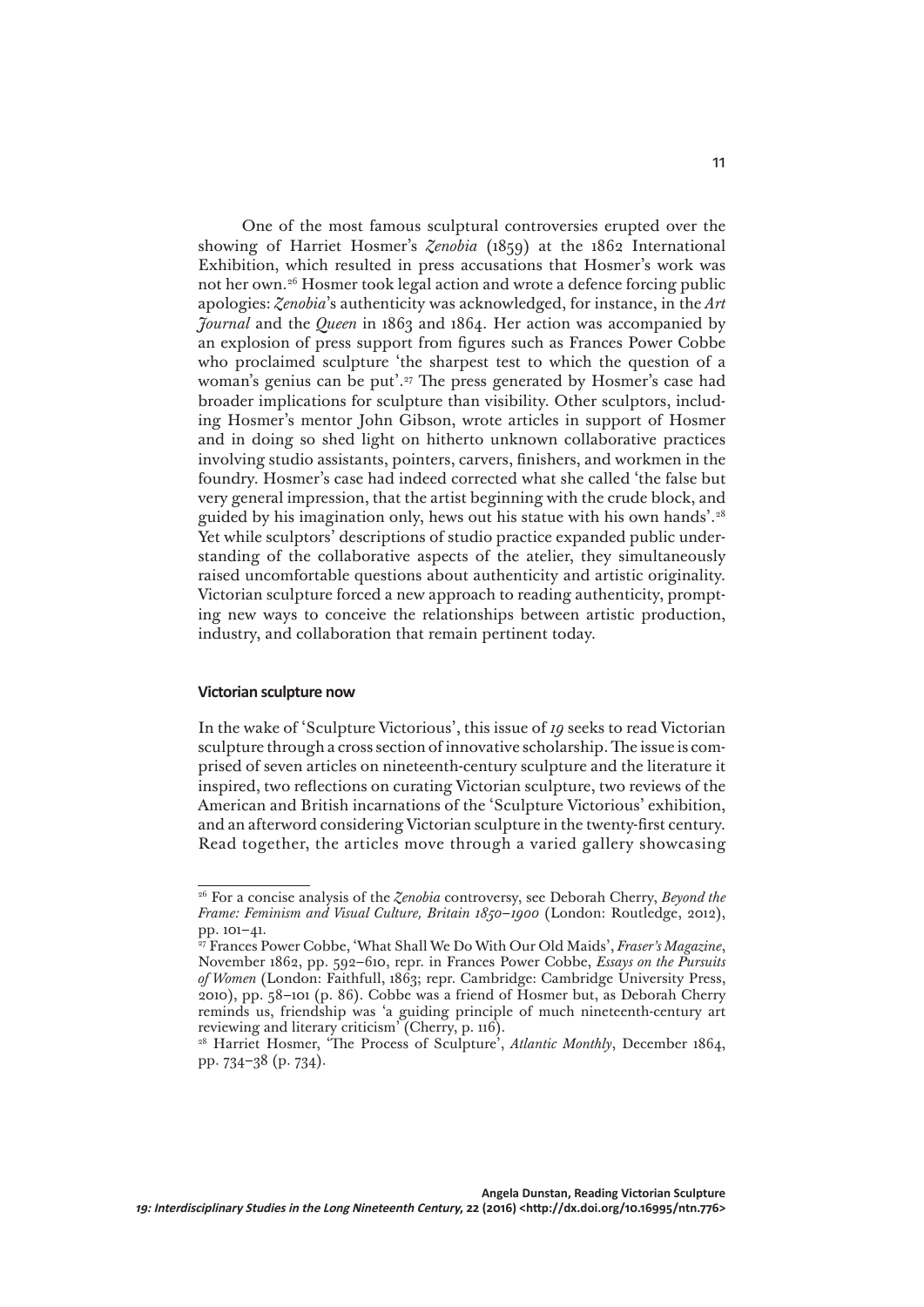One of the most famous sculptural controversies erupted over the showing of Harriet Hosmer's *Zenobia* (1859) at the 1862 International Exhibition, which resulted in press accusations that Hosmer's work was not her own.26 Hosmer took legal action and wrote a defence forcing public apologies: *Zenobia*'s authenticity was acknowledged, for instance, in the *Art Journal* and the *Queen* in 1863 and 1864. Her action was accompanied by an explosion of press support from figures such as Frances Power Cobbe who proclaimed sculpture 'the sharpest test to which the question of a woman's genius can be put'.<sup>27</sup> The press generated by Hosmer's case had broader implications for sculpture than visibility. Other sculptors, including Hosmer's mentor John Gibson, wrote articles in support of Hosmer and in doing so shed light on hitherto unknown collaborative practices involving studio assistants, pointers, carvers, finishers, and workmen in the foundry. Hosmer's case had indeed corrected what she called 'the false but very general impression, that the artist beginning with the crude block, and guided by his imagination only, hews out his statue with his own hands'.28 Yet while sculptors' descriptions of studio practice expanded public understanding of the collaborative aspects of the atelier, they simultaneously raised uncomfortable questions about authenticity and artistic originality. Victorian sculpture forced a new approach to reading authenticity, prompting new ways to conceive the relationships between artistic production, industry, and collaboration that remain pertinent today.

## **Victorian sculpture now**

In the wake of 'Sculpture Victorious', this issue of *19* seeks to read Victorian sculpture through a cross section of innovative scholarship. The issue is comprised of seven articles on nineteenth-century sculpture and the literature it inspired, two reflections on curating Victorian sculpture, two reviews of the American and British incarnations of the 'Sculpture Victorious' exhibition, and an afterword considering Victorian sculpture in the twenty-first century. Read together, the articles move through a varied gallery showcasing

<sup>26</sup> For a concise analysis of the *Zenobia* controversy, see Deborah Cherry, *Beyond the Frame: Feminism and Visual Culture, Britain 1850*–*1900* (London: Routledge, 2012), pp. 101–41.

<sup>27</sup> Frances Power Cobbe, 'What Shall We Do With Our Old Maids', *Fraser's Magazine*, November 1862, pp. 592–610, repr. in Frances Power Cobbe, *Essays on the Pursuits of Women* (London: Faithfull, 1863; repr. Cambridge: Cambridge University Press, 2010), pp. 58–101 (p. 86). Cobbe was a friend of Hosmer but, as Deborah Cherry reminds us, friendship was 'a guiding principle of much nineteenth-century art reviewing and literary criticism' (Cherry, p. 116).

<sup>&</sup>lt;sup>28</sup> Harriet Hosmer, 'The Process of Sculpture', Atlantic Monthly, December 1864, pp. 734–38 (p. 734).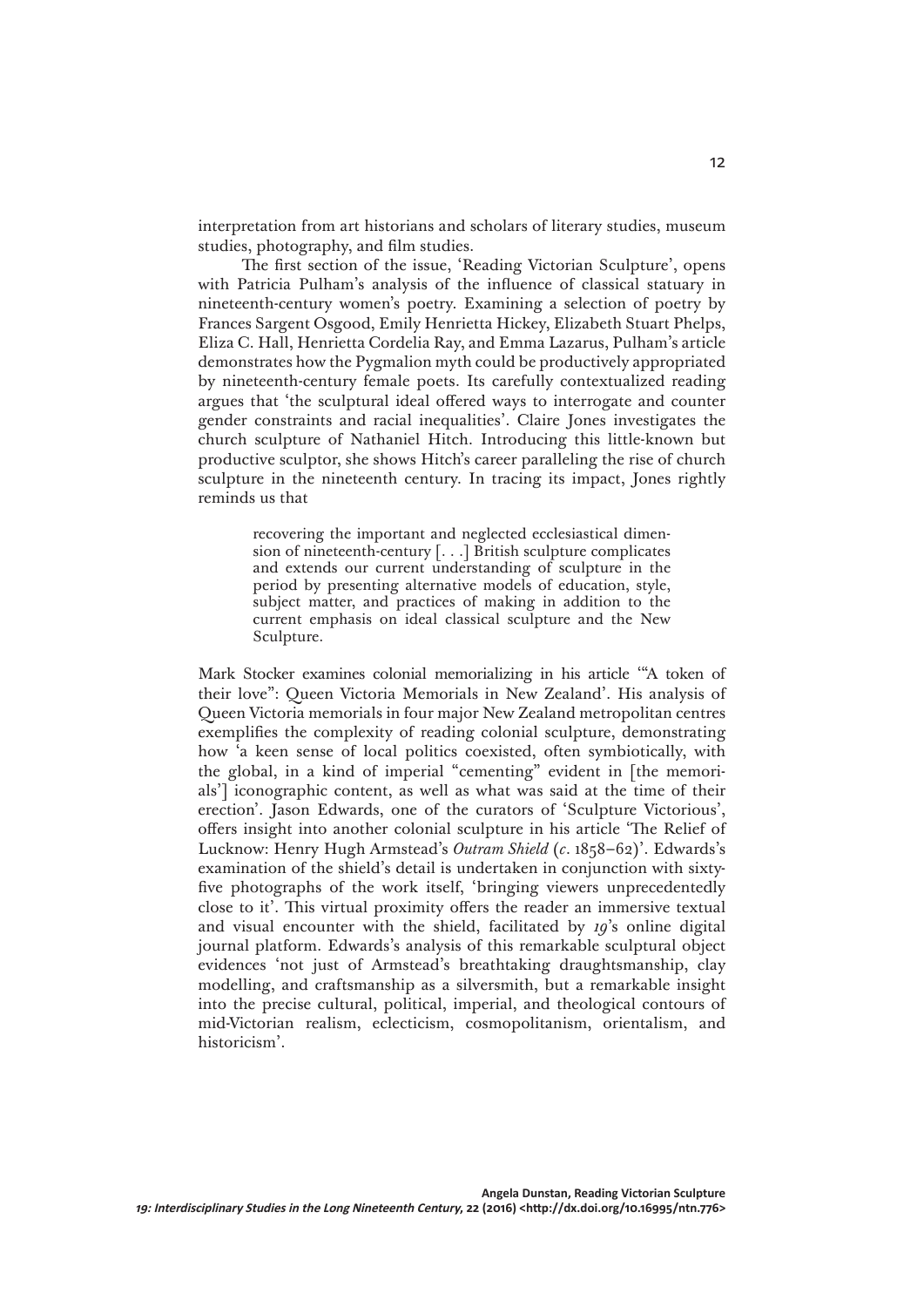interpretation from art historians and scholars of literary studies, museum studies, photography, and film studies.

The first section of the issue, 'Reading Victorian Sculpture', opens with Patricia Pulham's analysis of the influence of classical statuary in nineteenth-century women's poetry. Examining a selection of poetry by Frances Sargent Osgood, Emily Henrietta Hickey, Elizabeth Stuart Phelps, Eliza C. Hall, Henrietta Cordelia Ray, and Emma Lazarus, Pulham's article demonstrates how the Pygmalion myth could be productively appropriated by nineteenth-century female poets. Its carefully contextualized reading argues that 'the sculptural ideal offered ways to interrogate and counter gender constraints and racial inequalities'. Claire Jones investigates the church sculpture of Nathaniel Hitch. Introducing this little-known but productive sculptor, she shows Hitch's career paralleling the rise of church sculpture in the nineteenth century. In tracing its impact, Jones rightly reminds us that

> recovering the important and neglected ecclesiastical dimension of nineteenth-century [. . .] British sculpture complicates and extends our current understanding of sculpture in the period by presenting alternative models of education, style, subject matter, and practices of making in addition to the current emphasis on ideal classical sculpture and the New Sculpture.

Mark Stocker examines colonial memorializing in his article '"A token of their love": Queen Victoria Memorials in New Zealand'. His analysis of Queen Victoria memorials in four major New Zealand metropolitan centres exemplifies the complexity of reading colonial sculpture, demonstrating how 'a keen sense of local politics coexisted, often symbiotically, with the global, in a kind of imperial "cementing" evident in [the memorials'] iconographic content, as well as what was said at the time of their erection'. Jason Edwards, one of the curators of 'Sculpture Victorious', offers insight into another colonial sculpture in his article 'The Relief of Lucknow: Henry Hugh Armstead's *Outram Shield* (*c*. 1858–62)'. Edwards's examination of the shield's detail is undertaken in conjunction with sixtyfive photographs of the work itself, 'bringing viewers unprecedentedly close to it'. This virtual proximity offers the reader an immersive textual and visual encounter with the shield, facilitated by *19*'s online digital journal platform. Edwards's analysis of this remarkable sculptural object evidences 'not just of Armstead's breathtaking draughtsmanship, clay modelling, and craftsmanship as a silversmith, but a remarkable insight into the precise cultural, political, imperial, and theological contours of mid-Victorian realism, eclecticism, cosmopolitanism, orientalism, and historicism'.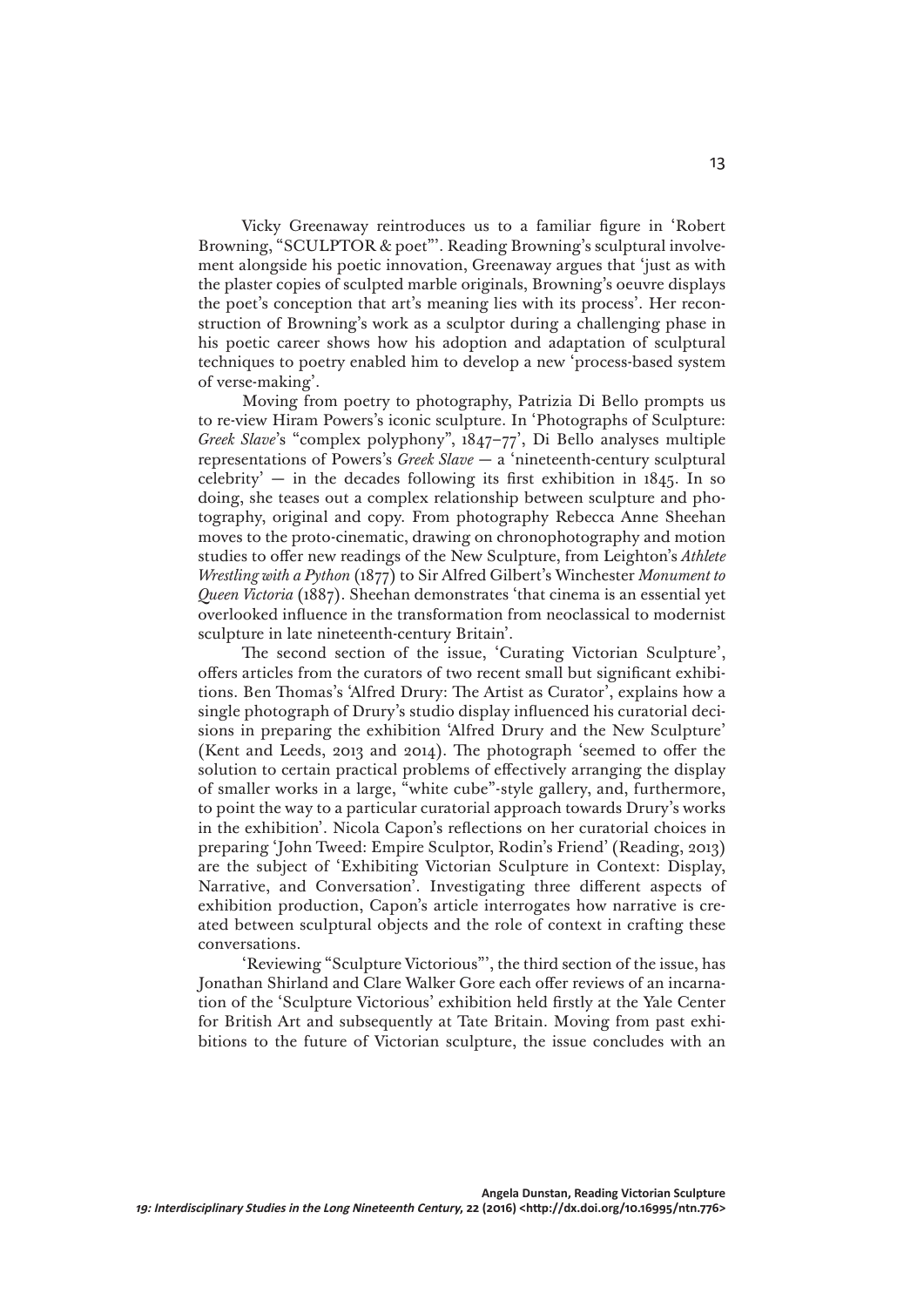Vicky Greenaway reintroduces us to a familiar figure in 'Robert Browning, "SCULPTOR & poet"'. Reading Browning's sculptural involvement alongside his poetic innovation, Greenaway argues that 'just as with the plaster copies of sculpted marble originals, Browning's oeuvre displays the poet's conception that art's meaning lies with its process'. Her reconstruction of Browning's work as a sculptor during a challenging phase in his poetic career shows how his adoption and adaptation of sculptural techniques to poetry enabled him to develop a new 'process-based system of verse-making'.

Moving from poetry to photography, Patrizia Di Bello prompts us to re-view Hiram Powers's iconic sculpture. In 'Photographs of Sculpture: *Greek Slave*'s "complex polyphony", 1847–77', Di Bello analyses multiple representations of Powers's *Greek Slave* — a 'nineteenth-century sculptural celebrity'  $-$  in the decades following its first exhibition in 1845. In so doing, she teases out a complex relationship between sculpture and photography, original and copy. From photography Rebecca Anne Sheehan moves to the proto-cinematic, drawing on chronophotography and motion studies to offer new readings of the New Sculpture, from Leighton's *Athlete Wrestling with a Python* (1877) to Sir Alfred Gilbert's Winchester *Monument to Queen Victoria* (1887). Sheehan demonstrates 'that cinema is an essential yet overlooked influence in the transformation from neoclassical to modernist sculpture in late nineteenth-century Britain'.

The second section of the issue, 'Curating Victorian Sculpture', offers articles from the curators of two recent small but significant exhibitions. Ben Thomas's 'Alfred Drury: The Artist as Curator', explains how a single photograph of Drury's studio display influenced his curatorial decisions in preparing the exhibition 'Alfred Drury and the New Sculpture' (Kent and Leeds, 2013 and 2014). The photograph 'seemed to offer the solution to certain practical problems of effectively arranging the display of smaller works in a large, "white cube"-style gallery, and, furthermore, to point the way to a particular curatorial approach towards Drury's works in the exhibition'. Nicola Capon's reflections on her curatorial choices in preparing 'John Tweed: Empire Sculptor, Rodin's Friend' (Reading, 2013) are the subject of 'Exhibiting Victorian Sculpture in Context: Display, Narrative, and Conversation'. Investigating three different aspects of exhibition production, Capon's article interrogates how narrative is created between sculptural objects and the role of context in crafting these conversations.

'Reviewing "Sculpture Victorious"', the third section of the issue, has Jonathan Shirland and Clare Walker Gore each offer reviews of an incarnation of the 'Sculpture Victorious' exhibition held firstly at the Yale Center for British Art and subsequently at Tate Britain. Moving from past exhibitions to the future of Victorian sculpture, the issue concludes with an